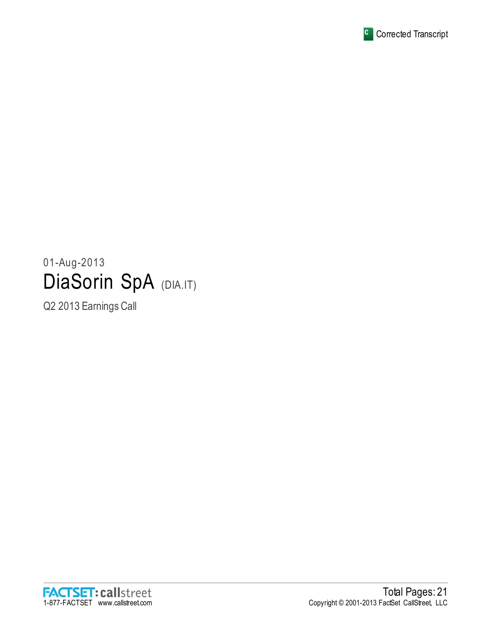

# 01-Aug-2013 DiaSorin SpA (DIA.IT)

Q2 2013 Earnings Call

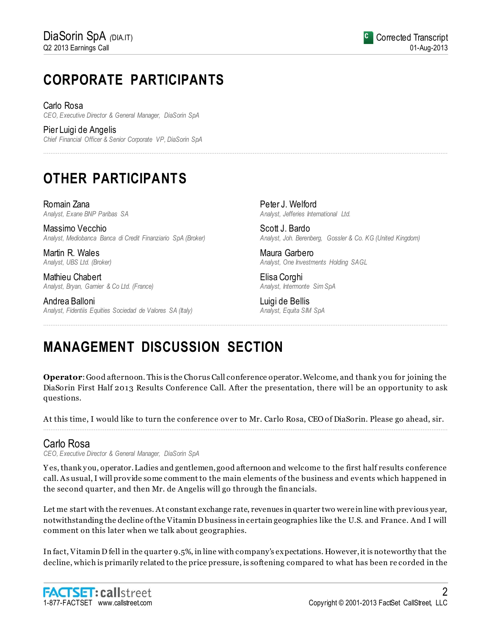# **CORPORATE PARTICIPANTS**

Carlo Rosa *CEO, Executive Director & General Manager, DiaSorin SpA*

Pier Luigi de Angelis *Chief Financial Officer & Senior Corporate VP, DiaSorin SpA*

# **OTHER PARTICIPANTS**

Romain Zana *Analyst, Exane BNP Paribas SA*

Massimo Vecchio *Analyst, Mediobanca Banca di Credit Finanziario SpA (Broker)*

Martin R. Wales *Analyst, UBS Ltd. (Broker)*

Mathieu Chabert *Analyst, Bryan, Garnier & Co Ltd. (France)*

Andrea Balloni *Analyst, Fidentiis Equities Sociedad de Valores SA (Italy)* Peter J. Welford *Analyst, Jefferies International Ltd.*

Scott J. Bardo *Analyst, Joh. Berenberg, Gossler & Co. KG (United Kingdom)*

Maura Garbero *Analyst, One Investments Holding SAGL*

Elisa Corghi *Analyst, Intermonte Sim SpA*

Luigi de Bellis *Analyst, Equita SIM SpA*

# **MANAGEMENT DISCUSSION SECTION**

**Operator**: Good afternoon. This is the Chorus Call conference operator. Welcome, and thank y ou for joining the DiaSorin First Half 2013 Results Conference Call. After the presentation, there will be an opportunity to ask questions.

................................................................................................................................................................................................................................

................................................................................................................................................................................................................................

At this time, I would like to turn the conference over to Mr. Carlo Rosa, CEO of DiaSorin. Please go ahead, sir. ................................................................................................................................................................................................................................

# Carlo Rosa

*CEO, Executive Director & General Manager, DiaSorin SpA*

Y es, thank y ou, operator. Ladies and gentlemen, good afternoon and welcome to the first half results conference call. As usual, I will provide some comment to the main elements of the business and events which happened in the second quarter, and then Mr. de Angelis will go through the financials.

Let me start with the revenues. At constant exchange rate, revenues in quarter two were in line with previous year, notwithstanding the decline of the Vitamin D business in certain geographies like the U.S. and France. And I will comment on this later when we talk about geographies.

In fact, Vitamin D fell in the quarter 9.5%, in line with company's expectations. However, it is noteworthy that the decline, which is primarily related to the price pressure, is softening compared to what has been re corded in the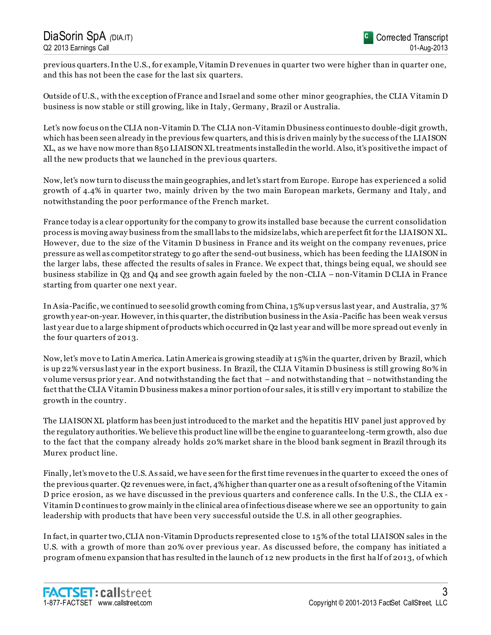previous quarters. In the U.S., for example, Vitamin D revenues in quarter two were higher than in quarter one, and this has not been the case for the last six quarters.

Outside of U.S., with the exception of France and Israel and some other minor geographies, the CLIA Vitamin D business is now stable or still growing, like in Italy , Germany , Brazil or Australia.

Let's now focus on the CLIA non-Vitamin D. The CLIA non-Vitamin Dbusiness continues to double-digit growth, which has been seen already in the previous few quarters, and this is driven mainly by the success of the LIAISON XL, as we have now more than 850 LIAISON XL treatments installed in the world. Also, it's positive the impact of all the new products that we launched in the previous quarters.

Now, let's now turn to discuss the main geographies, and let's start from Europe. Europe has experienced a solid growth of 4.4% in quarter two, mainly driven by the two main European markets, Germany and Italy , and notwithstanding the poor performance of the French market.

France today is a clear opportunity for the company to grow its installed base because the current consolidation process is moving away business from the small labs to the midsize labs, which are perfect fit for the LIAISON XL. However, due to the size of the Vitamin D business in France and its weight on the company revenues, price pressure as well as competitor strategy to go after the send-out business, which has been feeding the LIAISON in the larger labs, these affected the results of sales in France. We expect that, things being equal, we should see business stabilize in Q3 and Q4 and see growth again fueled by the non-CLIA – non-Vitamin D CLIA in France starting from quarter one next year.

In Asia-Pacific, we continued to see solid growth coming from China, 15% up versus last year, and Australia, 37 % growth y ear-on-year. However, in this quarter, the distribution business in the Asia-Pacific has been weak versus last y ear due to a large shipment of products which occurred in Q2 last y ear and will be more spread out evenly in the four quarters of 2013.

Now, let's move to Latin America. Latin America is growing steadily at 15% in the quarter, driven by Brazil, which is up 22% versus last y ear in the export business. In Brazil, the CLIA Vitamin D business is still growing 80% in volume versus prior y ear. And notwithstanding the fact that – and notwithstanding that – notwithstanding the fact that the CLIA Vitamin D business makes a minor portion of our sales, it is still v ery important to stabilize the growth in the country .

The LIAISON XL platform has been just introduced to the market and the hepatitis HIV panel just approved by the regulatory authorities. We believe this product line will be the engine to guarantee long -term growth, also due to the fact that the company already holds 20% market share in the blood bank segment in Brazil through its Murex product line.

Finally , let's move to the U.S. As said, we have seen for the first time revenues in the quarter to exceed the ones of the previous quarter. Q2 revenues were, in fact, 4% higher than quarter one as a result of softening of the Vitamin D price erosion, as we have discussed in the previous quarters and conference calls. In the U.S., the CLIA ex - Vitamin D continues to grow mainly in the clinical area of infectious disease where we see an opportunity to gain leadership with products that have been very successful outside the U.S. in all other geographies.

In fact, in quarter two, CLIA non-Vitamin D products represented close to 15% of the total LIAISON sales in the U.S. with a growth of more than 20% over previous year. As discussed before, the company has initiated a program of menu expansion that has resulted in the launch of 12 new products in the first ha lf of 2013, of which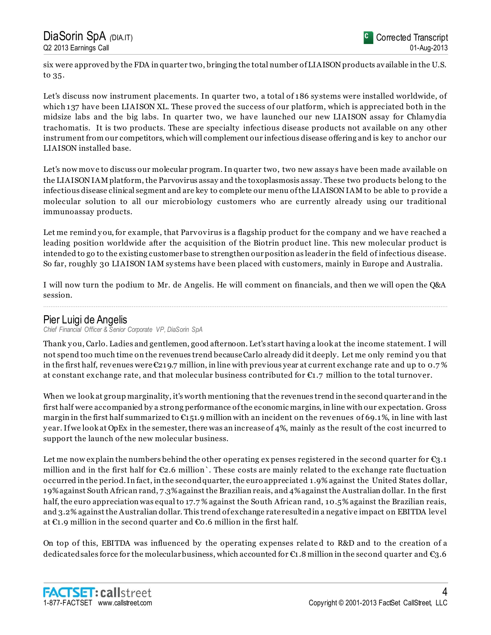six were approved by the FDA in quarter two, bringing the total number of LIAISON products available in the U.S. to 35.

Let's discuss now instrument placements. In quarter two, a total of 186 sy stems were installed worldwide, of which 137 have been LIAISON XL. These proved the success of our platform, which is appreciated both in the midsize labs and the big labs. In quarter two, we have launched our new LIAISON assay for Chlamy dia trachomatis. It is two products. These are specialty infectious disease products not available on any other instrument from our competitors, which will complement our infectious disease offering and is key to anchor our LIAISON installed base.

Let's now move to discuss our molecular program. In quarter two, two new assays have been made available on the LIAISON IAM platform, the Parvovirus assay and the toxoplasmosis assay. These two products belong to the infectious disease clinical segment and are key to complete our menu of the LIAISON IAM to be able to p rovide a molecular solution to all our microbiology customers who are currently already using our traditional immunoassay products.

Let me remind you, for example, that Parvovirus is a flagship product for the company and we have reached a leading position worldwide after the acquisition of the Biotrin product line. This new molecular product is intended to go to the existing customer base to strengthen our position as leader in the field of infectious disease. So far, roughly 30 LIAISON IAM sy stems have been placed with customers, mainly in Europe and Australia.

I will now turn the podium to Mr. de Angelis. He will comment on financials, and then we will open the Q&A session. ................................................................................................................................................................................................................................

# Pier Luigi de Angelis

*Chief Financial Officer & Senior Corporate VP, DiaSorin SpA*

Thank y ou, Carlo. Ladies and gentlemen, good afternoon. Let's start having a look at the income statement. I will not spend too much time on the revenues trend because Carlo already did it deeply. Let me only remind y ou that in the first half, revenues were  $\mathfrak{C}219.7$  million, in line with previous year at current exchange rate and up to 0.7% at constant exchange rate, and that molecular business contributed for  $\epsilon_{1.7}$  million to the total turnover.

When we look at group marginality, it's worth mentioning that the revenues trend in the second quarter and in the first half were accompanied by a strong performance of the economic margins, in line with our expectation. Gross margin in the first half summarized to  $\epsilon_{151.9}$  million with an incident on the revenues of 69.1%, in line with last y ear. If we look at OpEx in the semester, there was an increase of 4%, mainly as the result of the cost incurred to support the launch of the new molecular business.

Let me now explain the numbers behind the other operating expenses registered in the second quarter for  $\epsilon_{3.1}$ million and in the first half for  $\mathfrak{C}2.6$  million  $\mathfrak{C}$ . These costs are mainly related to the exchange rate fluctuation occurred in the period. In fact, in the second quarter, the euro appreciated 1.9% against the United States dollar, 19% against South African rand, 7.3% against the Brazilian reais, and 4% against the Australian dollar. In the first half, the euro appreciation was equal to 17.7% against the South African rand, 10.5% against the Brazilian reais, and 3.2% against the Australian dollar. This trend of exchange rate resulted in a negative impact on EBITDA level at  $\epsilon$ 1.9 million in the second quarter and  $\epsilon$ 0.6 million in the first half.

On top of this, EBITDA was influenced by the operating expenses relate d to R&D and to the creation of a dedicated sales force for the molecular business, which accounted for  $\epsilon_1$ .8 million in the second quarter and  $\epsilon_3$ .6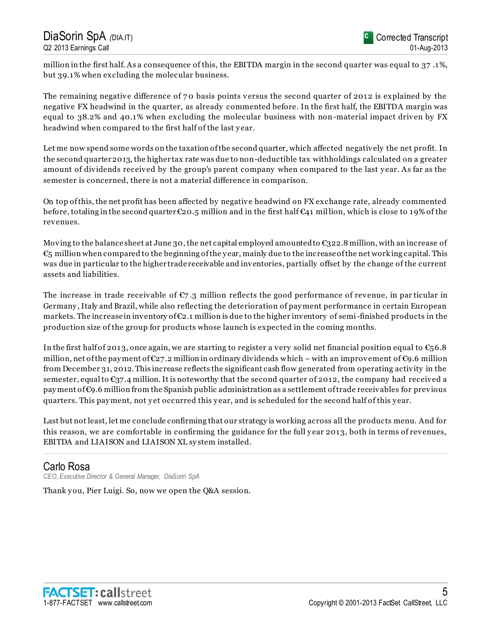million in the first half. As a consequence of this, the EBITDA margin in the second quarter was equal to 37 .1%, but 39.1% when excluding the molecular business.

The remaining negative difference of 7 0 basis points versus the second quarter of 2012 is explained by the negative FX headwind in the quarter, as already commented before. In the first half, the EBITDA margin was equal to 38.2% and 40.1% when excluding the molecular business with non-material impact driven by FX headwind when compared to the first half of the last y ear.

Let me now spend some words on the taxation of the second quarter, which affected negatively the net profit. In the second quarter 2013, the higher tax rate was due to non-deductible tax withholdings calculated on a greater amount of dividends received by the group's parent company when compared to the last y ear. As far as the semester is concerned, there is not a material difference in comparison.

On top of this, the net profit has been affected by negative headwind on FX exchange rate, already commented before, totaling in the second quarter  $\epsilon_{20.5}$  million and in the first half  $\epsilon_{41}$  million, which is close to 19% of the revenues.

Moving to the balance sheet at June 30, the net capital employed amounted to  $\epsilon$ 322.8 million, with an increase of  $\epsilon$ <sub>5</sub> million when compared to the beginning of the year, mainly due to the increase of the net working capital. This was due in particular to the higher trade receivable and inventories, partially offset by the change of the current assets and liabilities.

The increase in trade receivable of  $\mathfrak{C}_7$  .3 million reflects the good performance of revenue, in particular in Germany , Italy and Brazil, while also reflecting the deterioration of pay ment performance in certain European markets. The increase in inventory of  $\epsilon_{2,1}$  million is due to the higher inventory of semi-finished products in the production size of the group for products whose launch is expected in the coming months.

In the first half of 2013, once again, we are starting to register a very solid net financial position equal to  $\epsilon$ 56.8 million, net of the payment of  $\epsilon_{27.2}$  million in ordinary dividends which – with an improvement of  $\epsilon_{9.6}$  million from December 31, 2012. This increase reflects the significant cash flow generated from operating activity in the semester, equal to €37.4 million. It is noteworthy that the second quarter of 2012, the company had received a pay ment of €9.6 million from the Spanish public administration as a settlement of trade receivables for previous quarters. This payment, not yet occurred this year, and is scheduled for the second half of this year.

Last but not least, let me conclude confirming that our strategy is working across all the products menu. And for this reason, we are comfortable in confirming the guidance for the full y ear 2013, both in terms of revenues, EBITDA and LIAISON and LIAISON XL sy stem installed.

................................................................................................................................................................................................................................

# Carlo Rosa

*CEO, Executive Director & General Manager, DiaSorin SpA*

Thank you, Pier Luigi. So, now we open the Q&A session.

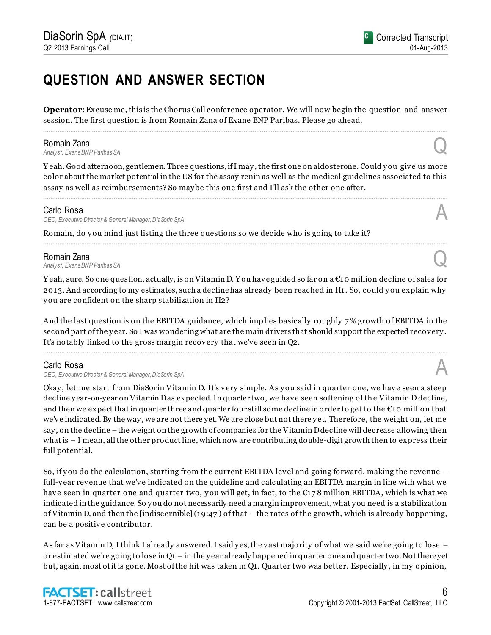# **QUESTION AND ANSWER SECTION**

**Operator**: Excuse me, this is the Chorus Call conference operator. We will now begin the question-and-answer session. The first question is from Romain Zana of Exane BNP Paribas. Please go ahead. ................................................................................................................................................................................................................................

**Romain Zana**<br>Analyst, Exane BNP Paribas SA *Analyst, Exane BNP Paribas SA* Q

Yeah. Good afternoon, gentlemen. Three questions, if I may, the first one on aldosterone. Could you give us more color about the market potential in the US for the assay renin as well as the medical guidelines associated to this assay as well as reimbursements? So may be this one first and I'll ask the other one after.

................................................................................................................................................................................................................................

................................................................................................................................................................................................................................

### Carlo Rosa

*CEO, Executive Director & General Manager, DiaSorin SpA* A

Romain, do you mind just listing the three questions so we decide who is going to take it?

**Romain Zana**<br>Analyst, Exane BNP Paribas SA *Analyst, Exane BNP Paribas SA* Q

Y eah, sure. So one question, actually, is on Vitamin D. Y ou have guided so far on a €10 million decline of sales for 2013. And according to my estimates, such a decline has already been reached in H1. So, could y ou explain why y ou are confident on the sharp stabilization in H2?

And the last question is on the EBITDA guidance, which implies basically roughly 7 % growth of EBITDA in the second part of the y ear. So I was wondering what are the main drivers that should support the expected recovery . It's notably linked to the gross margin recovery that we've seen in Q2.

................................................................................................................................................................................................................................

# Carlo Rosa

*CEO, Executive Director & General Manager, DiaSorin SpA* A

Okay , let me start from DiaSorin Vitamin D. It's very simple. As y ou said in quarter one, we have seen a steep decline y ear-on-year on Vitamin Das expected. In quarter two, we have seen softening of the Vitamin D decline, and then we expect that in quarter three and quarter four still some decline in order to get to the  $\epsilon$ 10 million that we've indicated. By the way , we are not there yet. We are close but not there y et. Therefore, the weight on, let me say, on the decline – the weight on the growth of companies for the Vitamin D decline will decrease allowing then what is – I mean, all the other product line, which now are contributing double-digit growth then to express their full potential.

So, if you do the calculation, starting from the current EBITDA level and going forward, making the revenue – full-y ear revenue that we've indicated on the guideline and calculating an EBITDA margin in line with what we have seen in quarter one and quarter two, you will get, in fact, to the  $\epsilon$ 178 million EBITDA, which is what we indicated in the guidance. So y ou do not necessarily need a margin improvement, what y ou need is a stabilization of Vitamin D, and then the [indiscernible] (19:47 ) of that – the rates of the growth, which is already happening, can be a positive contributor.

As far as Vitamin D, I think I already answered. I said yes, the vast majority of what we said we're going to lose – or estimated we're going to lose in Q1 – in the y ear already happened in quarter one and quarter two. Not there yet but, again, most of it is gone. Most of the hit was taken in Q1. Quarter two was better. Especially , in my opinion,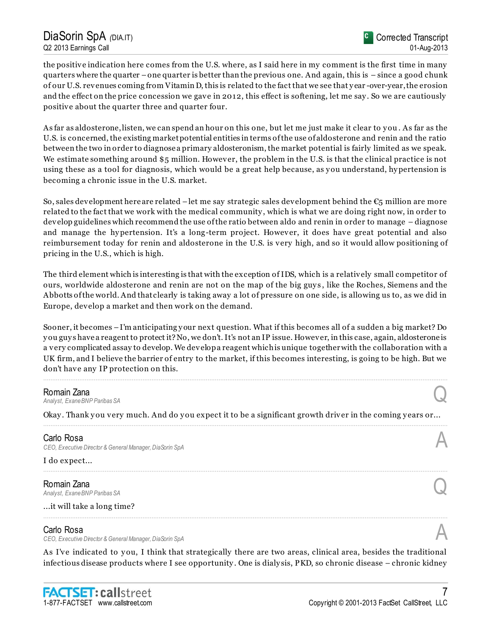the positive indication here comes from the U.S. where, as I said here in my comment is the first time in many quarters where the quarter –one quarter is better than the previous one. And again, this is – since a good chunk of our U.S. revenues coming from Vitamin D, this is related to the fact that we see that y ear -over-year, the erosion and the effect on the price concession we gave in 2012, this effect is softening, let me say . So we are cautiously positive about the quarter three and quarter four.

As far as aldosterone, listen, we can spend an hour on this one, but let me just make it clear to you. As far as the U.S. is concerned, the existing market potential entities in terms of the use of aldosterone and renin and the ratio between the two in order to diagnose a primary aldosteronism, the market potential is fairly limited as we speak. We estimate something around \$5 million. However, the problem in the U.S. is that the clinical practice is not using these as a tool for diagnosis, which would be a great help because, as y ou understand, hy pertension is becoming a chronic issue in the U.S. market.

So, sales development here are related –let me say strategic sales development behind the  $\epsilon$ <sub>5</sub> million are more related to the fact that we work with the medical community , which is what we are doing right now, in order to develop guidelines which recommend the use of the ratio between aldo and renin in order to manage – diagnose and manage the hy pertension. It's a long-term project. However, it does have great potential and also reimbursement today for renin and aldosterone in the U.S. is very high, and so it would allow positioning of pricing in the U.S., which is high.

The third element which is interesting is that with the exception of IDS, which is a relatively small competitor of ours, worldwide aldosterone and renin are not on the map of the big guy s , like the Roches, Siemens and the Abbotts of the world. And that clearly is taking away a lot of pressure on one side, is allowing us to, as we did in Europe, develop a market and then work on the demand.

Sooner, it becomes –I'm anticipating y our next question. What if this becomes all of a sudden a big market? Do y ou guy s have a reagent to protect it? No, we don't. It's not an IP issue. However, in this case, again, aldosterone is a very complicated assay to develop. We develop a reagent which is unique together with the collaboration with a UK firm, and I believe the barrier of entry to the market, if this becomes interesting, is going to be high. But we don't have any IP protection on this.

................................................................................................................................................................................................................................

**Romain Zana**<br>Analyst, Exane BNP Paribas SA *Analyst, Exane BNP Paribas SA* Q

Okay . Thank y ou very much. And do y ou expect it to be a significant growth driver in the coming y ears or... ................................................................................................................................................................................................................................

................................................................................................................................................................................................................................

### Carlo Rosa *CEO, Executive Director & General Manager, DiaSorin SpA* A

I do expect...

**Romain Zana**<br>Analyst, Exane BNP Paribas SA *Analyst, Exane BNP Paribas SA* Q

...it will take a long time?

### Carlo Rosa

*CEO, Executive Director & General Manager, DiaSorin SpA* A

As I've indicated to you, I think that strategically there are two areas, clinical area, besides the traditional infectious disease products where I see opportunity . One is dialy sis, PKD, so chronic disease – chronic kidney

................................................................................................................................................................................................................................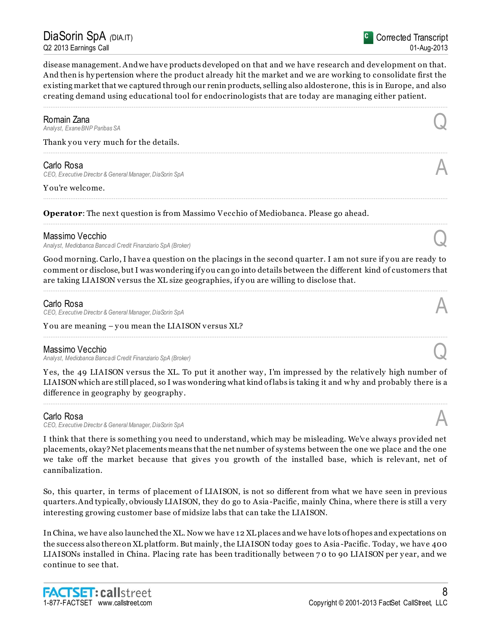DiaSorin SpA *(*DIA.IT) Q2 2013 Earnings Call

disease management. And we have products developed on that and we have research and development on that. And then is hy pertension where the product already hit the market and we are working to consolidate first the existing market that we captured through our renin products, selling also aldosterone, this is in Europe, and also creating demand using educational tool for endocrinologists that are today are managing either patient.

................................................................................................................................................................................................................................

................................................................................................................................................................................................................................

................................................................................................................................................................................................................................

................................................................................................................................................................................................................................

**Romain Zana**<br>Analyst, Exane BNP Paribas SA *Analyst, Exane BNP Paribas SA* Q

Thank you very much for the details.

### Carlo Rosa

*CEO, Executive Director & General Manager, DiaSorin SpA* A

Y ou're welcome.

**Operator**: The next question is from Massimo Vecchio of Mediobanca. Please go ahead.

#### Massimo Vecchio

*Analyst, Mediobanca Banca di Credit Finanziario SpA (Broker)* Q

Good morning. Carlo, I have a question on the placings in the second quarter. I am not sure if you are ready to comment or disclose, but I was wondering if y ou can go into details between the different kind of customers that are taking LIAISON versus the XL size geographies, if you are willing to disclose that.

................................................................................................................................................................................................................................

................................................................................................................................................................................................................................

### Carlo Rosa

*CEO, Executive Director & General Manager, DiaSorin SpA* A

Y ou are meaning – y ou mean the LIAISON versus XL?

### Massimo Vecchio

*Analyst, Mediobanca Banca di Credit Finanziario SpA (Broker)* Q

Y es, the 49 LIAISON versus the XL. To put it another way , I'm impressed by the relatively high number of LIAISON which are still placed, so I was wondering what kind of labs is taking it and why and probably there is a difference in geography by geography .

................................................................................................................................................................................................................................

### Carlo Rosa

*CEO, Executive Director & General Manager, DiaSorin SpA* A

I think that there is something y ou need to understand, which may be misleading. We've alway s provided net placements, okay? Net placements means that the net number of sy stems between the one we place and the one we take off the market because that gives you growth of the installed base, which is relevant, net of cannibalization.

So, this quarter, in terms of placement of LIAISON, is not so different from what we have seen in previous quarters. And typically, obviously LIAISON, they do go to Asia-Pacific, mainly China, where there is still a very interesting growing customer base of midsize labs that can take the LIAISON.

In China, we have also launched the XL. Now we have 12 XL places and we have lots of hopes and expectations on the success also there on XL platform. But mainly , the LIAISON today goes to Asia -Pacific. Today , we have 400 LIAISONs installed in China. Placing rate has been traditionally between 70 to 90 LIAISON per year, and we continue to see that.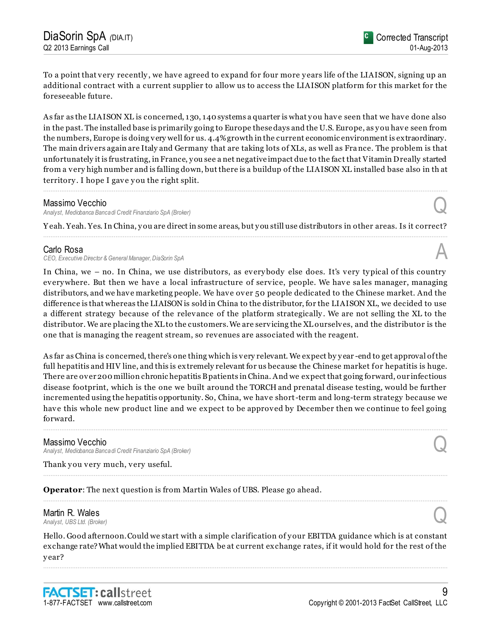To a point that very recently , we have agreed to expand for four more y ears life of the LIAISON, signing up an additional contract with a current supplier to allow us to access the LIAISON platform for this market for the foreseeable future.

As far as the LIAISON XL is concerned, 130, 140 systems a quarter is what you have seen that we have done also in the past. The installed base is primarily going to Europe these days and the U.S. Europe, as y ou have seen from the numbers, Europe is doing very well for us. 4.4% growth in the current economic environment is extraordinary. The main drivers again are Italy and Germany that are taking lots of XLs, as well as Fra nce. The problem is that unfortunately it is frustrating, in France, y ou see a net negative impact due to the fact that Vitamin D really started from a very high number and is falling down, but there is a buildup of the LIAISON XL installed base also in th at territory. I hope I gave you the right split.

#### Massimo Vecchio

*Analyst, Mediobanca Banca di Credit Finanziario SpA (Broker)* Q

Y eah. Yeah. Yes. In China, y ou are direct in some areas, but y ou still use distributors in other areas. Is it correct? ................................................................................................................................................................................................................................

................................................................................................................................................................................................................................

### Carlo Rosa

*CEO, Executive Director & General Manager, DiaSorin SpA* A

In China, we – no. In China, we use distributors, as every body else does. It's very ty pical of this country every where. But then we have a local infrastructure of service, people. We have sales manager, managing distributors, and we have marketing people. We have over 50 people dedicated to the Chinese market. And the difference is that whereas the LIAISON is sold in China to the distributor, for the LIAISON XL, we decided to use a different strategy because of the relevance of the platform strategically . We are not selling the XL to the distributor. We are placing the XL to the customers. We are servicing the XL ourselves, and the distributor is the one that is managing the reagent stream, so revenues are associated with the reagent.

As far as China is concerned, there's one thing which is very relevant. We expect by y ear -end to get approval of the full hepatitis and HIV line, and this is extremely relevant for us because the Chinese market for hepatitis is huge. There are over 200 million chronic hepatitis B patients in China. And we expect that going forward, our infectious disease footprint, which is the one we built around the TORCH and prenatal disease testing, would be further incremented using the hepatitis opportunity. So, China, we have short-term and long-term strategy because we have this whole new product line and we expect to be approved by December then we continue to feel going forward.

................................................................................................................................................................................................................................

................................................................................................................................................................................................................................

................................................................................................................................................................................................................................

# Massimo Vecchio

*Analyst, Mediobanca Bancadi Credit Finanziario SpA (Broker)* Q

Thank you very much, very useful.

**Operator**: The next question is from Martin Wales of UBS. Please go ahead.

# Martin R. Wales **Martin R. Wales**<br>Analyst, UBS Ltd. (Broker)

Hello. Good afternoon. Could we start with a simple clarification of y our EBITDA guidance which is at constant exchange rate? What would the implied EBITDA be at current exchange rates, if it would hold for the rest of the y ear? ................................................................................................................................................................................................................................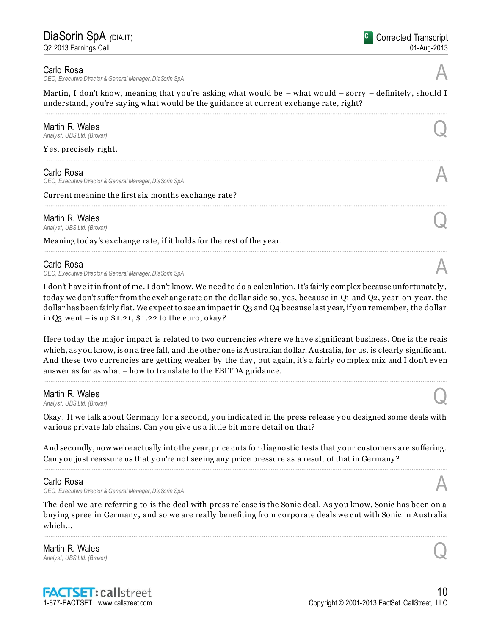#### Carlo Rosa

*CEO, Executive Director & General Manager, DiaSorin SpA* A

Martin, I don't know, meaning that you're asking what would be  $-$  what would  $-$  sorry  $-$  definitely, should I understand, you're saying what would be the guidance at current exchange rate, right? ................................................................................................................................................................................................................................

| Martin R. Wales<br>Analyst, UBS Ltd. (Broker)                         |  |
|-----------------------------------------------------------------------|--|
| Yes, precisely right.                                                 |  |
| Carlo Rosa<br>CEO, Executive Director & General Manager, DiaSorin SpA |  |
| Current meaning the first six months exchange rate?                   |  |
| Martin R. Wales<br>Analyst, UBS Ltd. (Broker)                         |  |
|                                                                       |  |

Meaning today 's exchange rate, if it holds for the rest of the y ear.

#### Carlo Rosa

*CEO, Executive Director & General Manager, DiaSorin SpA* A

I don't have it in front of me. I don't know. We need to do a calculation. It's fairly complex because unfortunately , today we don't suffer from the exchange rate on the dollar side so, y es, because in Q1 and Q2, y ear-on-y ear, the dollar has been fairly flat. We expect to see an impact in Q3 and Q4 because last year, if you remember, the dollar in  $Q_3$  went – is up  $$1.21$ ,  $$1.22$  to the euro, okay?

................................................................................................................................................................................................................................

Here today the major impact is related to two currencies where we have significant business. One is the reais which, as you know, is on a free fall, and the other one is Australian dollar. Australia, for us, is clearly significant. And these two currencies are getting weaker by the day, but again, it's a fairly complex mix and I don't even answer as far as what – how to translate to the EBITDA guidance.

................................................................................................................................................................................................................................

### Martin R. Wales

**Martin R. Wales**<br>Analyst, UBS Ltd. (Broker)

Okay . If we talk about Germany for a second, y ou indicated in the press release y ou designed some deals with various private lab chains. Can you give us a little bit more detail on that?

And secondly, now we're actually into the y ear, price cuts for diagnostic tests that y our customers are suffering. Can you just reassure us that you're not seeing any price pressure as a result of that in Germany? ................................................................................................................................................................................................................................

### Carlo Rosa

*CEO, Executive Director & General Manager, DiaSorin SpA* A

The deal we are referring to is the deal with press release is the Sonic deal. As you know, Sonic has been on a buy ing spree in Germany , and so we are really benefiting from corporate deals we cut with Sonic in Australia which...

................................................................................................................................................................................................................................

Martin R. Wales **Martin R. Wales**<br>Analyst, UBS Ltd. (Broker)

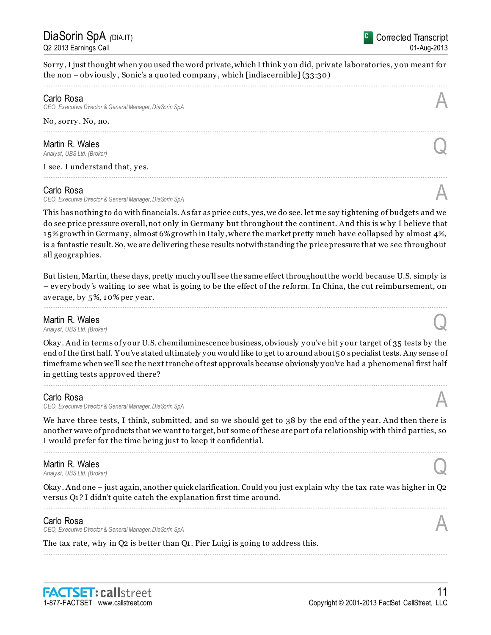Sorry , I just thought when y ou used the word private, which I think y ou did, private laboratories, y ou meant for the non – obviously , Sonic's a quoted company , which [indiscernible] (33:30) ................................................................................................................................................................................................................................

### Carlo Rosa

*CEO, Executive Director & General Manager, DiaSorin SpA* A

#### No, sorry . No, no. ................................................................................................................................................................................................................................

# **Martin R. Wales**<br>Analyst, UBS Ltd. (Broker)

**Martin R. Wales**<br>Analyst, UBS Ltd. (Broker)

I see. I understand that, yes.

### Carlo Rosa

*CEO, Executive Director & General Manager, DiaSorin SpA* A

This has nothing to do with financials. As far as price cuts, yes, we do see, let me say tightening of budgets and we do see price pressure overall, not only in Germany but throughout the continent. And this is w hy I believe that 15% growth in Germany , almost 6% growth in Italy , where the market pretty much have collapsed by almost 4%, is a fantastic result. So, we are delivering these results notwithstanding the price pressure that we see throughout all geographies.

................................................................................................................................................................................................................................

But listen, Martin, these days, pretty much y ou'll see the same effect throughout the world because U.S. simply is – every body 's waiting to see what is going to be the effect of the reform. In China, the cut reimbursement, on average, by 5%, 10% per y ear.

................................................................................................................................................................................................................................

# Martin R. Wales **Martin R. Wales**<br>Analyst, UBS Ltd. (Broker)

Okay. And in terms of your U.S. chemiluminescence business, obviously you've hit your target of 35 tests by the end of the first half. Y ou've stated ultimately y ou would like to get to around about 50 specialist tests. Any sense of timeframe when we'll see the next tranche of test approvals because obviously y ou've had a phenomenal first half in getting tests approved there?

................................................................................................................................................................................................................................

### Carlo Rosa

*CEO, Executive Director & General Manager, DiaSorin SpA* A

We have three tests, I think, submitted, and so we should get to 38 by the end of the year. And then there is another wave of products that we want to target, but some of these are part of a relationship with third parties, so I would prefer for the time being just to keep it confidential.

................................................................................................................................................................................................................................

### Martin R. Wales

**Martin R. Wales**<br>Analyst, UBS Ltd. (Broker)

Okay . And one – just again, another quick clarification. Could you just explain why the tax rate was higher in Q2 versus Q1? I didn't quite catch the explanation first time around. ................................................................................................................................................................................................................................

................................................................................................................................................................................................................................

# Carlo Rosa

*CEO, Executive Director & General Manager, DiaSorin SpA* A

The tax rate, why in Q2 is better than Q1. Pier Luigi is going to address this.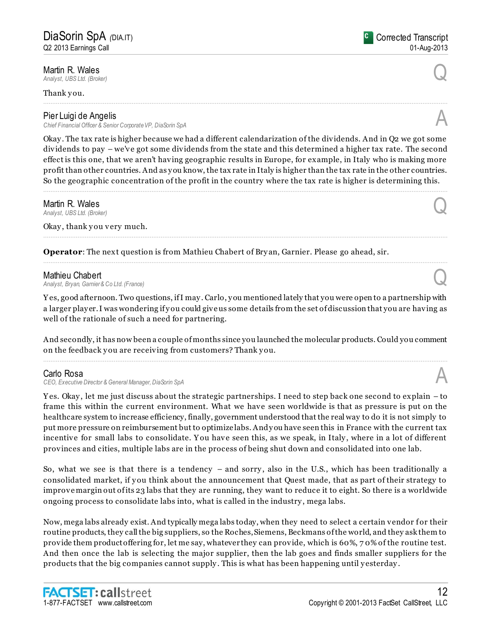**Martin R. Wales**<br>Analyst, UBS Ltd. (Broker) **Martin R. Wales**<br>Analyst, UBS Ltd. (Broker)

Thank you.

# Pier Luigi de Angelis

*Chief Financial Officer & Senior Corporate VP, DiaSorin SpA* A

Okay . The tax rate is higher because we had a different calendarization of the dividends. And in Q2 we got some dividends to pay – we've got some dividends from the state and this determined a higher tax rate. The second effect is this one, that we aren't having geographic results in Europe, for example, in Italy who is making more profit than other countries. And as y ou know, the tax rate in Italy is higher than the tax rate in the other countries. So the geographic concentration of the profit in the country where the tax rate is higher is determining this.

................................................................................................................................................................................................................................

................................................................................................................................................................................................................................

................................................................................................................................................................................................................................

**Martin R. Wales**<br>Analyst. UBS Ltd. (Broker) **Martin R. Wales**<br>Analyst, UBS Ltd. (Broker)

Okay, thank you very much.

**Operator**: The next question is from Mathieu Chabert of Bry an, Garnier. Please go ahead, sir.

**Mathieu Chabert**<br>Analyst, Bryan, Garnier & Co Ltd. (France) *Analyst, Bryan, Garnier & Co Ltd. (France)* Q

Y es, good afternoon. Two questions, if I may . Carlo, y ou mentioned lately that you were open to a partnership with a larger play er. I was wondering if y ou could give us some details from the set of discussion that you are having as well of the rationale of such a need for partnering.

And secondly, it has now been a couple of months since you launched the molecular products. Could you comment on the feedback y ou are receiving from customers? Thank y ou. ................................................................................................................................................................................................................................

### Carlo Rosa

*CEO, Executive Director & General Manager, DiaSorin SpA* A

Y es. Okay , let me just discuss about the strategic partnerships. I need to step back one second to explain – to frame this within the current environment. What we have seen worldwide is that as pressure is put on the healthcare system to increase efficiency, finally, government understood that the real way to do it is not simply to put more pressure on reimbursement but to optimize labs. And y ou have seen this in France with the current tax incentive for small labs to consolidate. You have seen this, as we speak, in Italy, where in a lot of different provinces and cities, multiple labs are in the process of being shut down and consolidated into one lab.

So, what we see is that there is a tendency – and sorry , also in the U.S., which has been traditionally a consolidated market, if y ou think about the announcement that Quest made, that as part of their strategy to improve margin out of its 23 labs that they are running, they want to reduce it to eight. So there is a worldwide ongoing process to consolidate labs into, what is called in the industry , mega labs.

Now, mega labs already exist. And typically mega labs today, when they need to select a certain vendor for their routine products, they call the big suppliers, so the Roches, Siemens, Beckmans of the world, and they ask them to provide them product offering for, let me say, whatever they can provide, which is 60%, 7 0% of the routine test. And then once the lab is selecting the major supplier, then the lab goes and finds smaller suppliers for the products that the big companies cannot supply . This is what has been happening until y esterday .



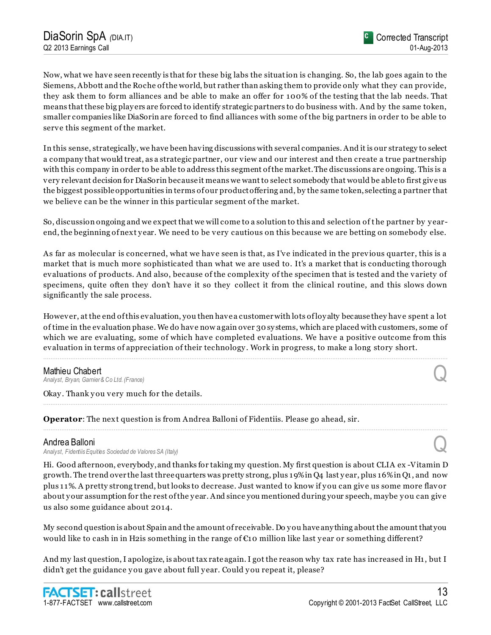Now, what we have seen recently is that for these big labs the situation is changing. So, the lab goes again to the Siemens, Abbott and the Roche of the world, but rather than asking them to provide only what they can provide, they ask them to form alliances and be able to make an offer for 100% of the testing that the lab needs. That means that these big play ers are forced to identify strategic partners to do business with. And by the same token, smaller companies like DiaSorin are forced to find alliances with some of the big partners in order to be able to serve this segment of the market.

In this sense, strategically, we have been having discussions with several companies. And it is our strategy to select a company that would treat, as a strategic partner, our view and our interest and then create a true partnership with this company in order to be able to address this segment of the market. The discussions are ongoing. This is a very relevant decision for DiaSorin because it means we want to select somebody that would be able to first give us the biggest possible opportunities in terms of our product offering and, by the same token, selecting a partner that we believe can be the winner in this particular segment of the market.

So, discussion ongoing and we expect that we will come to a solution to this and selection of t he partner by y earend, the beginning of next y ear. We need to be very cautious on this because we are betting on somebody else.

As far as molecular is concerned, what we have seen is that, as I've indicated in the previous quarter, this is a market that is much more sophisticated than what we are used to. It's a market that is conducting thorough evaluations of products. And also, because of the complexity of the specimen that is tested and the variety of specimens, quite often they don't have it so they collect it from the clinical routine, and this slows down significantly the sale process.

However, at the end of this evaluation, you then have a customer with lots of loy alty because they have spent a lot of time in the evaluation phase. We do have now again over 30 sy stems, which are placed with customers, some of which we are evaluating, some of which have completed evaluations. We have a positive outcome from this evaluation in terms of appreciation of their technology . Work in progress, to make a long story short.

................................................................................................................................................................................................................................

................................................................................................................................................................................................................................

................................................................................................................................................................................................................................

**Mathieu Chabert**<br>Analyst, Bryan, Garnier & Co Ltd. (France) *Analyst, Bryan, Garnier & Co Ltd. (France)* Q

Okay. Thank you very much for the details.

**Operator**: The next question is from Andrea Balloni of Fidentiis. Please go ahead, sir.

# Andrea Balloni

*Analyst, Fidentiis Equities Sociedad de Valores SA (Italy)* Q

Hi. Good afternoon, everybody, and thanks for taking my question. My first question is about CLIA ex -Vitamin D growth. The trend over the last three quarters was pretty strong, plus 19% in Q4 last y ear, plus 16% in Q1, and now plus 11%. A pretty strong trend, but looks to decrease. Just wanted to know if y ou can give us some more flavor about your assumption for the rest of the year. And since you mentioned during your speech, maybe you can give us also some guidance about 2014.

My second question is about Spain and the amount of receivable. Do y ou have any thing about the amount that you would like to cash in in H2is something in the range of €10 million like last y ear or something different?

And my last question, I apologize, is about tax rate again. I got the reason why tax rate has increased in H1, but I didn't get the guidance you gave about full year. Could you repeat it, please?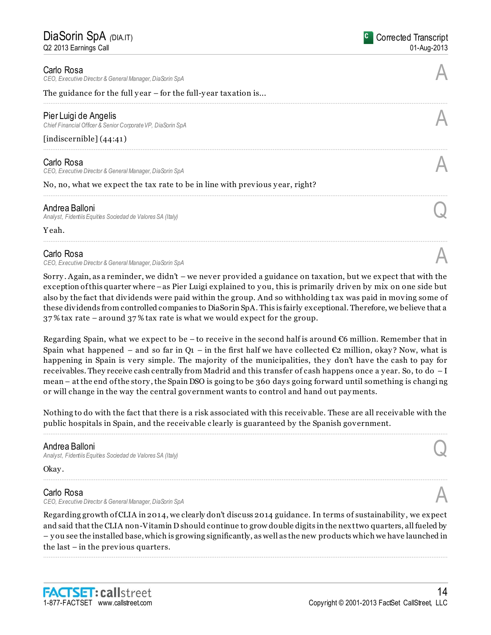#### Carlo Rosa

*CEO, Executive Director & General Manager, DiaSorin SpA* A

#### The guidance for the full year – for the full-year taxation is...

#### Pier Luigi de Angelis

*Chief Financial Officer & Senior Corporate VP, DiaSorin SpA* A

#### [indiscernible] (44:41)

#### Carlo Rosa

*CEO, Executive Director & General Manager, DiaSorin SpA* A

No, no, what we expect the tax rate to be in line with previous year, right?

### Andrea Balloni

*Analyst, Fidentiis Equities Sociedad de Valores SA (Italy)* Q

Y eah.

#### Carlo Rosa

*CEO, Executive Director & General Manager, DiaSorin SpA* A

Sorry . Again, as a reminder, we didn't – we never provided a guidance on taxation, but we expect that with the exception of this quarter where –as Pier Luigi explained to y ou, this is primarily driven by mix on one side but also by the fact that dividends were paid within the group. And so withholding t ax was paid in moving some of these dividends from controlled companies to DiaSorin SpA. This is fairly exceptional. Therefore, we believe that a 37 % tax rate – around 37 % tax rate is what we would expect for the group.

................................................................................................................................................................................................................................

................................................................................................................................................................................................................................

................................................................................................................................................................................................................................

Regarding Spain, what we expect to be – to receive in the second half is around  $\epsilon$ 6 million. Remember that in Spain what happened – and so far in  $Q_1$  – in the first half we have collected  $\mathfrak{C}_2$  million, okay? Now, what is happening in Spain is very simple. The majority of the municipalities, they don't have the cash to pay for receivables. They receive cash centrally from Madrid and this transfer of cash happens once a y ear. So, to do – I mean – at the end of the story , the Spain DSO is going to be 360 day s going forward until something is changi ng or will change in the way the central government wants to control and hand out pay ments.

Nothing to do with the fact that there is a risk associated with this receivable. These are all receivable with the public hospitals in Spain, and the receivable c learly is guaranteed by the Spanish government. ................................................................................................................................................................................................................................

### Andrea Balloni

*Analyst, Fidentiis Equities Sociedad de Valores SA (Italy)* Q

Okay.

#### Carlo Rosa

*CEO, Executive Director & General Manager, DiaSorin SpA* A

Regarding growth of CLIA in 2014, we clearly don't discuss 2014 guidance. In terms of sustainability , we expect and said that the CLIA non-Vitamin D should continue to grow double digits in the next two quarters, all fueled by – y ou see the installed base, which is growing significantly, as well as the new products which we have launched in the last – in the previous quarters.

................................................................................................................................................................................................................................

................................................................................................................................................................................................................................

Copyright © 2001-2013 FactSet CallStreet, LLC



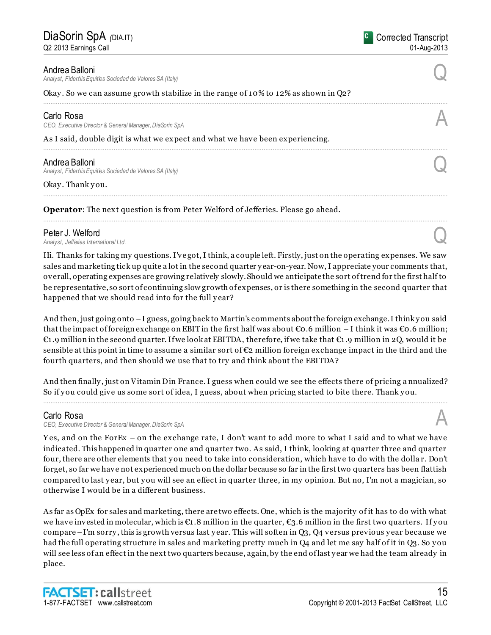#### Andrea Balloni

*Analyst, Fidentiis Equities Sociedad de Valores SA (Italy)* Q

#### Okay. So we can assume growth stabilize in the range of  $10\%$  to  $12\%$  as shown in Q2?

#### Carlo Rosa

*CEO, Executive Director & General Manager, DiaSorin SpA* A

As I said, double digit is what we expect and what we have been experiencing.

**Andrea Balloni**<br>Analyst, Fidentiis Equities Sociedad de Valores SA (Italy) *Analyst, Fidentiis Equities Sociedad de Valores SA (Italy)* Q

Okay. Thank you.

**Operator**: The next question is from Peter Welford of Jefferies. Please go ahead.

**Peter J. Welford**<br>Analyst, Jefferies International Ltd. *Analyst, Jefferies International Ltd.* Q

Hi. Thanks for taking my questions. I've got, I think, a couple left. Firstly, just on the operating expenses. We saw sales and marketing tick up quite a lot in the second quarter y ear-on-year. Now, I appreciate your comments that, overall, operating expenses are growing relatively slowly. Should we anticipate the sort of trend for the first half to be representative, so sort of continuing slow growth of expenses, or is there something in the second quarter that happened that we should read into for the full year?

................................................................................................................................................................................................................................

................................................................................................................................................................................................................................

................................................................................................................................................................................................................................

................................................................................................................................................................................................................................

And then, just going onto  $-I$  guess, going back to Martin's comments about the foreign exchange. I think you said that the impact of foreign exchange on EBIT in the first half was about  $\epsilon$ 0.6 million – I think it was  $\epsilon$ 0.6 million; €1.9 million in the second quarter. If we look at EBITDA, therefore, if we take that €1.9 million in 2Q, would it be sensible at this point in time to assume a similar sort of  $\epsilon_2$  million foreign exchange impact in the third and the fourth quarters, and then should we use that to try and think about the EBITDA?

And then finally, just on Vitamin Din France. I guess when could we see the effects there of pricing a nnualized? So if you could give us some sort of idea, I guess, about when pricing started to bite there. Thank you. ................................................................................................................................................................................................................................

### Carlo Rosa

*CEO, Executive Director & General Manager, DiaSorin SpA* A

Y es, and on the ForEx – on the exchange rate, I don't want to add more to what I said and to what we have indicated. This happened in quarter one and quarter two. As said, I think, looking at quarter three and quarter four, there are other elements that y ou need to take into consideration, which have to do with the dolla r. Don't forget, so far we have not experienced much on the dollar because so far in the first two quarters has been flattish compared to last y ear, but y ou will see an effect in quarter three, in my opinion. But no, I'm not a magician, so otherwise I would be in a different business.

As far as OpEx for sales and marketing, there are two effects. One, which is the majority of it has to do with what we have invested in molecular, which is  $\epsilon_1$ . 8 million in the quarter,  $\epsilon_3$ . 6 million in the first two quarters. If you compare –I'm sorry , this is growth versus last y ear. This will soften in Q3, Q4 versus previous y ear because we had the full operating structure in sales and marketing pretty much in Q4 and let me say half of it in Q3. So y ou will see less of an effect in the next two quarters because, again, by the end of last y ear we had the team already in place.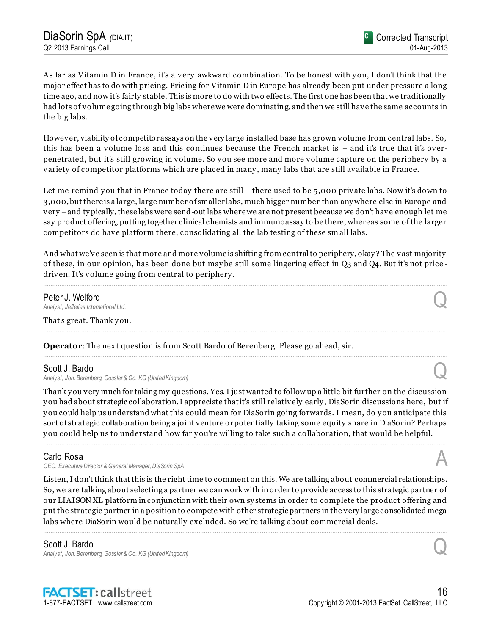As far as Vitamin D in France, it's a very awkward combination. To be honest with you, I don't think that the major effect has to do with pricing. Pric ing for Vitamin D in Europe has already been put under pressure a long time ago, and now it's fairly stable. This is more to do with two effects. The first one has been that we traditionally had lots of volume going through big labs where we were dominating, and then we still have the same accounts in the big labs.

However, viability of competitor assays on the very large installed base has grown volume from central labs. So, this has been a volume loss and this continues because the French market is – and it's true that it's overpenetrated, but it's still growing in volume. So y ou see more and more volume capture on the periphery by a variety of competitor platforms which are placed in many , many labs that are still available in France.

Let me remind you that in France today there are still – there used to be 5,000 private labs. Now it's down to 3,000, but there is a large, large number of smaller labs, much bigger number than any where else in Europe and very –and ty pically, these labs were send-out labs where we are not present because we don't have enough let me say product offering, putting together clinical chemists and immunoassay to be there, whereas some of the larger competitors do have platform there, consolidating all the lab testing of these sm all labs.

And what we've seen is that more and more volume is shifting from central to periphery, okay ? The vast majority of these, in our opinion, has been done but may be still some lingering effect in Q3 and Q4. But it's not price driven. It's volume going from central to periphery .

................................................................................................................................................................................................................................

................................................................................................................................................................................................................................

................................................................................................................................................................................................................................

# Peter J. Welford *Analyst, Jefferies International Ltd.* Q

That's great. Thank you.

**Operator**: The next question is from Scott Bardo of Berenberg. Please go ahead, sir.

# Scott J. Bardo

*Analyst, Joh. Berenberg, Gossler & Co. KG (United Kingdom)* Q

Thank you very much for taking my questions. Yes, I just wanted to follow up a little bit further on the discussion y ou had about strategic collaboration. I appreciate that it's still relatively early , DiaSorin discussions here, but if y ou could help us understand what this could mean for DiaSorin going forwards. I mean, do y ou anticipate this sort of strategic collaboration being a joint venture or potentially taking some equity share in DiaSorin? Perhaps y ou could help us to understand how far y ou're willing to take such a collaboration, that would be helpful.

................................................................................................................................................................................................................................

# Carlo Rosa

*CEO, Executive Director & General Manager, DiaSorin SpA* A

Listen, I don't think that this is the right time to comment on this. We are talking about commercial relationships. So, we are talking about selecting a partner we can work with in order to provide access to this strategic partner of our LIAISON XL platform in conjunction with their own sy stems in order to complete the product offering and put the strategic partner in a position to compete with other strategic partners in the very large consolidated mega labs where DiaSorin would be naturally excluded. So we're talking about commercial deals.

................................................................................................................................................................................................................................

# Scott J. Bardo

*Analyst, Joh. Berenberg, Gossler & Co. KG (United Kingdom)* Q

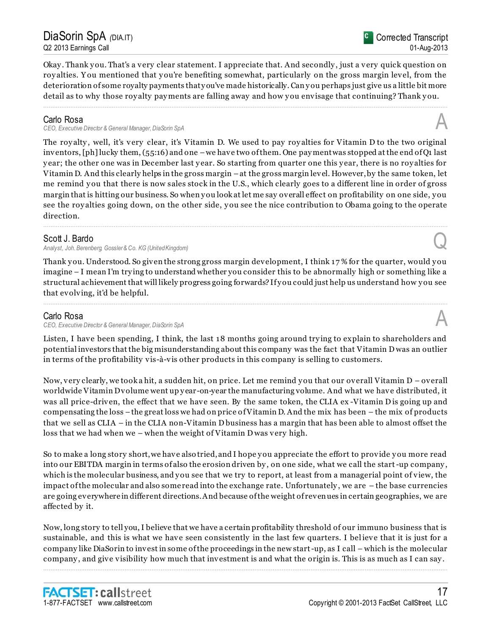# DiaSorin SpA *(*DIA.IT) Q2 2013 Earnings Call

Okay . Thank y ou. That's a very clear statement. I appreciate that. And secondly , just a very quick question on roy alties. You mentioned that you're benefiting somewhat, particularly on the gross margin level, from the deterioration of some royalty payments that y ou've made historically. Can y ou perhaps just give us a little bit more detail as to why those royalty payments are falling away and how you envisage that continuing? Thank you.

................................................................................................................................................................................................................................

# Carlo Rosa

*CEO, Executive Director & General Manager, DiaSorin SpA* A

The royalty, well, it's very clear, it's Vitamin D. We used to pay royalties for Vitamin D to the two original inventors, [ph] lucky them, (55:16) and one –we have two of them. One pay ment was stopped at the end of Q1 last y ear; the other one was in December last y ear. So starting from quarter one this y ear, there is no roy alties for Vitamin D. And this clearly helps in the gross margin –at the gross margin level. However, by the same token, let me remind you that there is now sales stock in the U.S., which clearly goes to a different line in order of gross margin that is hitting our business. So when y ou look at let me say overall effect on profitability on one side, y ou see the roy alties going down, on the other side, y ou see the nice contribution to Obama going to the operate direction. ................................................................................................................................................................................................................................

# Scott J. Bardo

*Analyst, Joh. Berenberg, Gossler & Co. KG (United Kingdom)* Q

Thank you. Understood. So given the strong gross margin development, I think 17% for the quarter, would you imagine – I mean I'm try ing to understand whether you consider this to be abnormally high or something like a structural achievement that will likely progress going forwards? If y ou could just help us understand how y ou see that evolving, it'd be helpful.

................................................................................................................................................................................................................................

# Carlo Rosa

*CEO, Executive Director & General Manager, DiaSorin SpA* A

Listen, I have been spending, I think, the last 18 months going around try ing to explain to shareholders and potential investors that the big misunderstanding about this company was the fact that Vitamin D was an outlier in terms of the profitability vis-à-vis other products in this company is selling to customers.

Now, very clearly, we took a hit, a sudden hit, on price. Let me remind y ou that our overall Vitamin D – overall worldwide Vitamin D volume went up year-on-year the manufacturing volume. And what we have distributed, it was all price-driven, the effect that we have seen. By the same token, the CLIA ex -Vitamin D is going up and compensating the loss –the great loss we had on price of Vitamin D. And the mix has been – the mix of products that we sell as CLIA – in the CLIA non-Vitamin D business has a margin that has been able to almost offset the loss that we had when we – when the weight of Vitamin D was very high.

So to make a long story short, we have also tried, and I hope y ou appreciate the effort to provide y ou more read into our EBITDA margin in terms of also the erosion driven by , on one side, what we call the start-up company , which is the molecular business, and you see that we try to report, at least from a managerial point of view, the impact of the molecular and also some read into the exchange rate. Unfortunately , we are – the base currencies are going everywhere in different directions. And because of the weight of revenues in certain geographies, we are affected by it.

Now, long story to tell you, I believe that we have a certain profitability threshold of our immuno business that is sustainable, and this is what we have seen consistently in the last few quarters. I bel ieve that it is just for a company like DiaSorin to invest in some of the proceedings in the new start-up, as I call – which is the molecular company , and give visibility how much that investment is and what the origin is. This is as much as I can say .

................................................................................................................................................................................................................................





17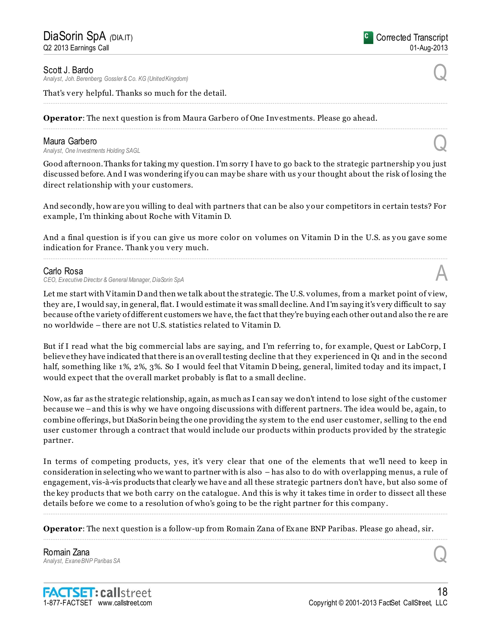Scott J. Bardo

*Analyst, Joh. Berenberg, Gossler & Co. KG (United Kingdom)* Q

That's very helpful. Thanks so much for the detail.

**Operator**: The next question is from Maura Garbero of One Investments. Please go ahead.

**Maura Garbero**<br>Analyst, One Investments Holding SAGL **Maura Garbero**<br>Analyst, One Investments Holding SAGL

Good afternoon. Thanks for taking my question. I'm sorry I have to go back to the strategic partnership y ou just discussed before. And I was wondering if y ou can may be share with us y our thought about the risk of losing the direct relationship with your customers.

................................................................................................................................................................................................................................

................................................................................................................................................................................................................................

And secondly, how are you willing to deal with partners that can be also y our competitors in certain tests? For example, I'm thinking about Roche with Vitamin D.

And a final question is if you can give us more color on volumes on Vitamin D in the U.S. as you gave some indication for France. Thank you very much. ................................................................................................................................................................................................................................

### Carlo Rosa

*CEO, Executive Director & General Manager, DiaSorin SpA* A

Let me start with Vitamin D and then we talk about the strategic. The U.S. volumes, from a market point of view, they are, I would say, in general, flat. I would estimate it was small decline. And I'm say ing it's very difficult to say because of the variety of different customers we have, the fact that they're buying each other out and also the re are no worldwide – there are not U.S. statistics related to Vitamin D.

But if I read what the big commercial labs are say ing, and I'm referring to, for example, Quest or LabCorp, I believe they have indicated that there is an overall testing decline that they experienced in Q1 and in the second half, something like 1%, 2%, 3%. So I would feel that Vitamin D being, general, limited today and its impact, I would expect that the overall market probably is flat to a small decline.

Now, as far as the strategic relationship, again, as much as I can say we don't intend to lose sight of the customer because we –and this is why we have ongoing discussions with different partners. The idea would be, again, to combine offerings, but DiaSorin being the one providing the sy stem to the end user customer, selling to the end user customer through a contract that would include our products within products provided by the strategic partner.

In terms of competing products, yes, it's very clear that one of the elements that we'll need to keep in consideration in selecting who we want to partner with is also – has also to do with overlapping menus, a rule of engagement, vis-à-vis products that clearly we have and all these strategic partners don't have, but also some of the key products that we both carry on the catalogue. And this is why it takes time in order to dissect all these details before we come to a resolution of who's going to be the right partner for this company .

................................................................................................................................................................................................................................

................................................................................................................................................................................................................................

**Operator**: The next question is a follow-up from Romain Zana of Exane BNP Paribas. Please go ahead, sir.

**Romain Zana**<br>Analyst, Exane BNP Paribas SA *Analyst, Exane BNP Paribas SA* Q

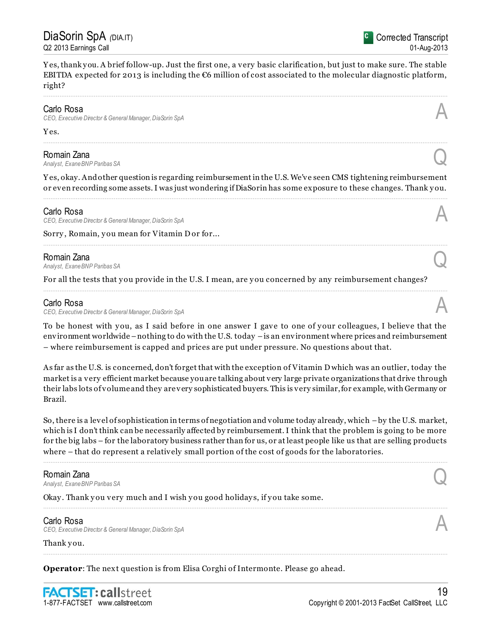Yes, thank you. A brief follow-up. Just the first one, a very basic clarification, but just to make sure. The stable EBITDA expected for 2013 is including the  $\epsilon$ 6 million of cost associated to the molecular diagnostic platform, right?

................................................................................................................................................................................................................................

### Carlo Rosa

*CEO, Executive Director & General Manager, DiaSorin SpA* A

#### Yes.

**Romain Zana**<br>Analyst, Exane BNP Paribas SA *Analyst, Exane BNP Paribas SA* Q

Y es, okay. And other question is regarding reimbursement in the U.S. We've seen CMS tightening reimbursement or even recording some assets. I was just wondering if DiaSorin has some exposure to these changes. Thank y ou. ................................................................................................................................................................................................................................

................................................................................................................................................................................................................................

................................................................................................................................................................................................................................

................................................................................................................................................................................................................................

#### Carlo Rosa

*CEO, Executive Director & General Manager, DiaSorin SpA* A

Sorry, Romain, you mean for Vitamin D or for...

**Romain Zana**<br>Analyst, Exane BNP Paribas SA *Analyst, Exane BNP Paribas SA* Q

For all the tests that you provide in the U.S. I mean, are you concerned by any reimbursement changes?

### Carlo Rosa

*CEO, Executive Director & General Manager, DiaSorin SpA* A

To be honest with you, as I said before in one answer I gave to one of your colleagues, I believe that the environment worldwide – nothing to do with the U.S. today – is an environment where prices and reimbursement – where reimbursement is capped and prices are put under pressure. No questions about that.

As far as the U.S. is concerned, don't forget that with the exception of Vitamin D which was an outlier, today the market is a very efficient market because you are talking about very large private organizations that drive through their labs lots of volume and they are very sophisticated buyers. This is very similar, for example, with Germany or Brazil.

So, there is a level of sophistication in terms of negotiation and volume today already, which –by the U.S. market, which is I don't think can be necessarily affected by reimbursement. I think that the problem is going to be more for the big labs – for the laboratory business rather than for us, or at least people like us that are selling products where – that do represent a relatively small portion of the cost of goods for the laboratories.

................................................................................................................................................................................................................................

Romain Zana *Analyst, Exane BNP Paribas SA* Q Okay. Thank you very much and I wish you good holidays, if you take some. ................................................................................................................................................................................................................................ Carlo Rosa *CEO, Executive Director & General Manager, DiaSorin SpA* A

................................................................................................................................................................................................................................

Thank you.

**Operator**: The next question is from Elisa Corghi of Intermonte. Please go ahead.

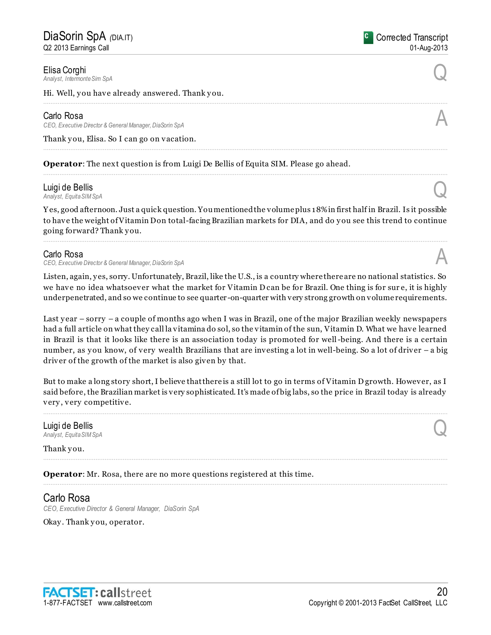Elisa Corghi<br>Analyst, Intermonte Sim SpA *Analyst, Intermonte Sim SpA* Q

Hi. Well, you have already answered. Thank you.

#### Carlo Rosa

*CEO, Executive Director & General Manager, DiaSorin SpA* A

Thank you, Elisa. So I can go on vacation.

**Operator**: The next question is from Luigi De Bellis of Equita SIM. Please go ahead.

# Luigi de Bellis *Analyst, Equita SIM SpA* Q

Y es, good afternoon. Just a quick question. You mentioned the volume plus 18% in first half in Brazil. Is it possible to have the weight of Vitamin D on total-facing Brazilian markets for DIA, and do you see this trend to continue going forward? Thank y ou.

................................................................................................................................................................................................................................

................................................................................................................................................................................................................................

................................................................................................................................................................................................................................

### Carlo Rosa

*CEO, Executive Director & General Manager, DiaSorin SpA* A

Listen, again, y es, sorry. Unfortunately, Brazil, like the U.S., is a country where there are no national statistics. So we have no idea whatsoever what the market for Vitamin D can be for Brazil. One thing is for sure, it is highly underpenetrated, and so we continue to see quarter -on-quarter with very strong growth on volume requirements.

Last year – sorry – a couple of months ago when I was in Brazil, one of the major Brazilian weekly newspapers had a full article on what they call la vitamina do sol, so the vitamin of the sun, Vitamin D. What we have learned in Brazil is that it looks like there is an association today is promoted for well-being. And there is a certain number, as you know, of very wealth Brazilians that are investing a lot in well-being. So a lot of driver – a big driver of the growth of the market is also given by that.

But to make a long story short, I believe that there is a still lot to go in terms of Vitamin D growth. However, as I said before, the Brazilian market is very sophisticated. It's made of big labs, so the price in Brazil today is already very , very competitive.

................................................................................................................................................................................................................................

................................................................................................................................................................................................................................

................................................................................................................................................................................................................................

# Luigi de Bellis *Analyst, Equita SIM SpA* Q

Thank you.

**Operator**: Mr. Rosa, there are no more questions registered at this time.

Carlo Rosa *CEO, Executive Director & General Manager, DiaSorin SpA*

Okay. Thank you, operator.